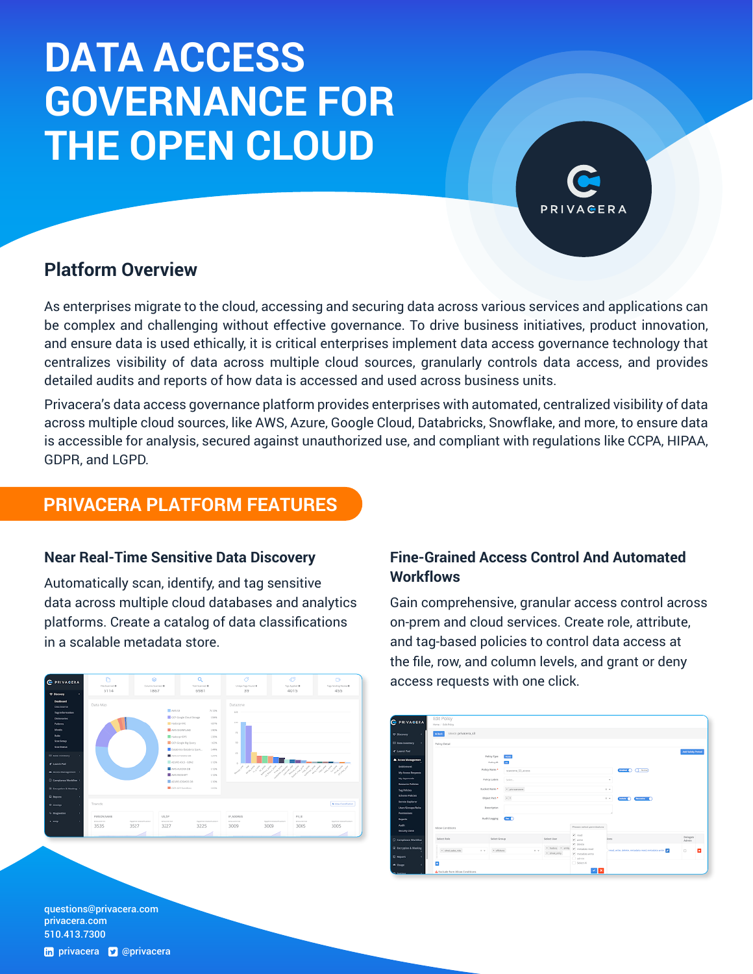# **DATA ACCESS GOVERNANCE FOR THE OPEN CLOUD**

## **Platform Overview**

As enterprises migrate to the cloud, accessing and securing data across various services and applications can be complex and challenging without effective governance. To drive business initiatives, product innovation, and ensure data is used ethically, it is critical enterprises implement data access governance technology that centralizes visibility of data across multiple cloud sources, granularly controls data access, and provides detailed audits and reports of how data is accessed and used across business units.

Privacera's data access governance platform provides enterprises with automated, centralized visibility of data across multiple cloud sources, like AWS, Azure, Google Cloud, Databricks, Snowflake, and more, to ensure data is accessible for analysis, secured against unauthorized use, and compliant with regulations like CCPA, HIPAA, GDPR, and LGPD.

## **PRIVACERA PLATFORM FEATURES**

### **Near Real-Time Sensitive Data Discovery**

Automatically scan, identify, and tag sensitive data across multiple cloud databases and analytics platforms. Create a catalog of data classifications in a scalable metadata store.



## **Fine-Grained Access Control And Automated Workflows**

Gain comprehensive, granular access control across on-prem and cloud services. Create role, attribute, and tag-based policies to control data access at the file, row, and column levels, and grant or deny access requests with one click.



questions@[privacera.com](mailto:questions%40privacera.com?subject=)  [privacera.com](http://www.privacera.com) 510.413.7300

#### th [privacera](http://twitter.com/privacera) **v** @privacera